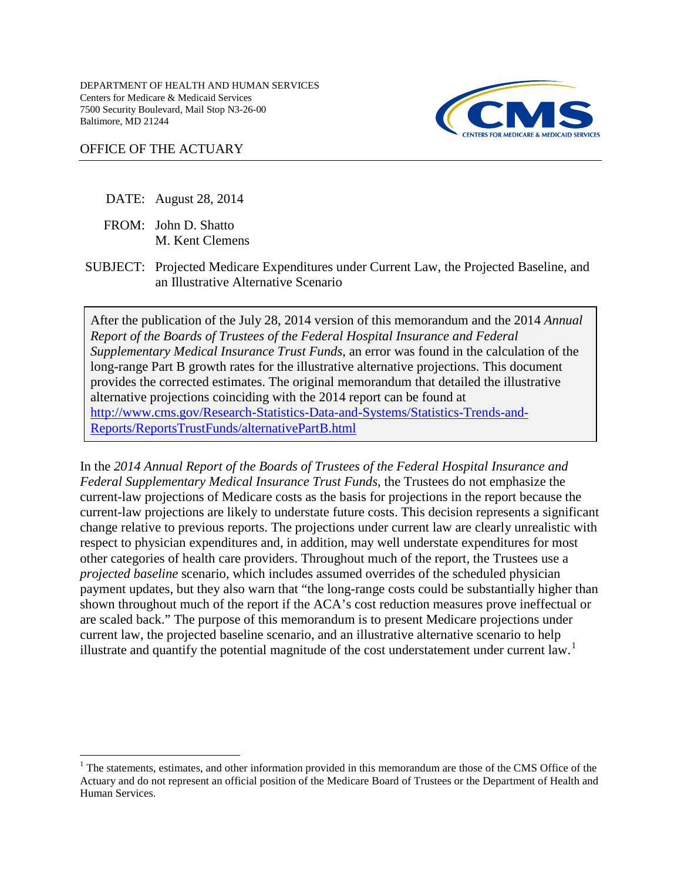

### OFFICE OF THE ACTUARY

- DATE: August 28, 2014
- FROM: John D. Shatto M. Kent Clemens
- SUBJECT: Projected Medicare Expenditures under Current Law, the Projected Baseline, and an Illustrative Alternative Scenario

After the publication of the July 28, 2014 version of this memorandum and the 2014 *Annual Report of the Boards of Trustees of the Federal Hospital Insurance and Federal Supplementary Medical Insurance Trust Funds*, an error was found in the calculation of the long-range Part B growth rates for the illustrative alternative projections. This document provides the corrected estimates. The original memorandum that detailed the illustrative alternative projections coinciding with the 2014 report can be found at [http://www.cms.gov/Research-Statistics-Data-and-Systems/Statistics-Trends-and-](http://www.cms.gov/Research-Statistics-Data-and-Systems/Statistics-Trends-and-Reports/ReportsTrustFunds/alternativePartB.html)[Reports/ReportsTrustFunds/alternativePartB.html](http://www.cms.gov/Research-Statistics-Data-and-Systems/Statistics-Trends-and-Reports/ReportsTrustFunds/alternativePartB.html)

In the *2014 Annual Report of the Boards of Trustees of the Federal Hospital Insurance and Federal Supplementary Medical Insurance Trust Funds*, the Trustees do not emphasize the current-law projections of Medicare costs as the basis for projections in the report because the current-law projections are likely to understate future costs. This decision represents a significant change relative to previous reports. The projections under current law are clearly unrealistic with respect to physician expenditures and, in addition, may well understate expenditures for most other categories of health care providers. Throughout much of the report, the Trustees use a *projected baseline* scenario, which includes assumed overrides of the scheduled physician payment updates, but they also warn that "the long-range costs could be substantially higher than shown throughout much of the report if the ACA's cost reduction measures prove ineffectual or are scaled back." The purpose of this memorandum is to present Medicare projections under current law, the projected baseline scenario, and an illustrative alternative scenario to help illustrate and quantify the potential magnitude of the cost understatement under current law.<sup>[1](#page-0-0)</sup>

<span id="page-0-0"></span> $<sup>1</sup>$  The statements, estimates, and other information provided in this memorandum are those of the CMS Office of the</sup> Actuary and do not represent an official position of the Medicare Board of Trustees or the Department of Health and Human Services.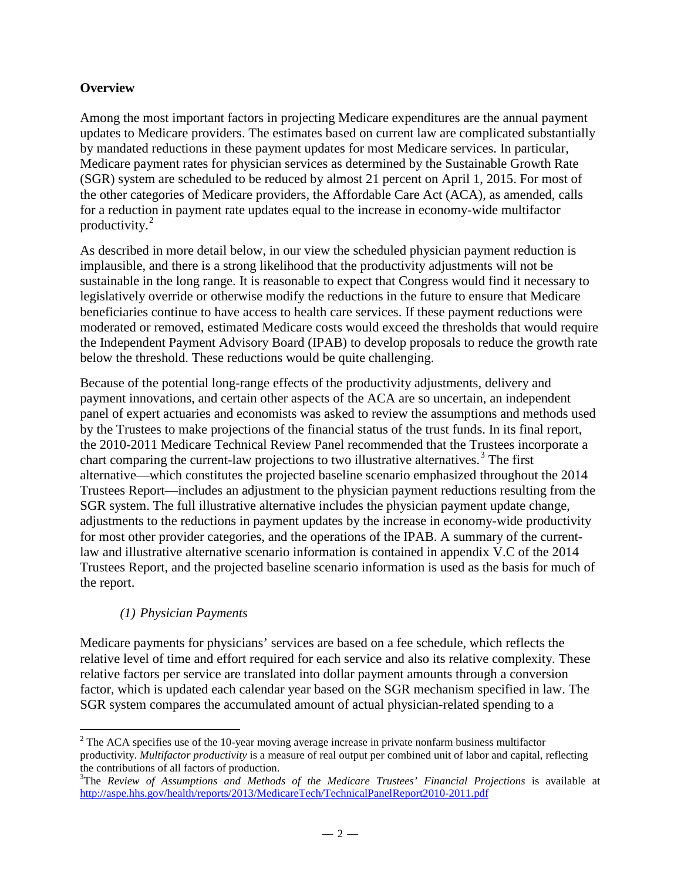# **Overview**

Among the most important factors in projecting Medicare expenditures are the annual payment updates to Medicare providers. The estimates based on current law are complicated substantially by mandated reductions in these payment updates for most Medicare services. In particular, Medicare payment rates for physician services as determined by the Sustainable Growth Rate (SGR) system are scheduled to be reduced by almost 21 percent on April 1, 2015. For most of the other categories of Medicare providers, the Affordable Care Act (ACA), as amended, calls for a reduction in payment rate updates equal to the increase in economy-wide multifactor productivity. $2$ 

As described in more detail below, in our view the scheduled physician payment reduction is implausible, and there is a strong likelihood that the productivity adjustments will not be sustainable in the long range. It is reasonable to expect that Congress would find it necessary to legislatively override or otherwise modify the reductions in the future to ensure that Medicare beneficiaries continue to have access to health care services. If these payment reductions were moderated or removed, estimated Medicare costs would exceed the thresholds that would require the Independent Payment Advisory Board (IPAB) to develop proposals to reduce the growth rate below the threshold. These reductions would be quite challenging.

Because of the potential long-range effects of the productivity adjustments, delivery and payment innovations, and certain other aspects of the ACA are so uncertain, an independent panel of expert actuaries and economists was asked to review the assumptions and methods used by the Trustees to make projections of the financial status of the trust funds. In its final report, the 2010-2011 Medicare Technical Review Panel recommended that the Trustees incorporate a chart comparing the current-law projections to two illustrative alternatives.<sup>[3](#page-1-1)</sup> The first alternative—which constitutes the projected baseline scenario emphasized throughout the 2014 Trustees Report—includes an adjustment to the physician payment reductions resulting from the SGR system. The full illustrative alternative includes the physician payment update change, adjustments to the reductions in payment updates by the increase in economy-wide productivity for most other provider categories, and the operations of the IPAB. A summary of the currentlaw and illustrative alternative scenario information is contained in appendix V.C of the 2014 Trustees Report, and the projected baseline scenario information is used as the basis for much of the report.

# *(1) Physician Payments*

Medicare payments for physicians' services are based on a fee schedule, which reflects the relative level of time and effort required for each service and also its relative complexity. These relative factors per service are translated into dollar payment amounts through a conversion factor, which is updated each calendar year based on the SGR mechanism specified in law. The SGR system compares the accumulated amount of actual physician-related spending to a

<span id="page-1-0"></span> $\overline{a}$  $2^2$  The ACA specifies use of the 10-year moving average increase in private nonfarm business multifactor productivity. *Multifactor productivity* is a measure of real output per combined unit of labor and capital, reflecting the contributions of all factors of production.

<span id="page-1-1"></span><sup>&</sup>lt;sup>3</sup>The *Review of Assumptions and Methods of the Medicare Trustees' Financial Projections is available at* <http://aspe.hhs.gov/health/reports/2013/MedicareTech/TechnicalPanelReport2010-2011.pdf>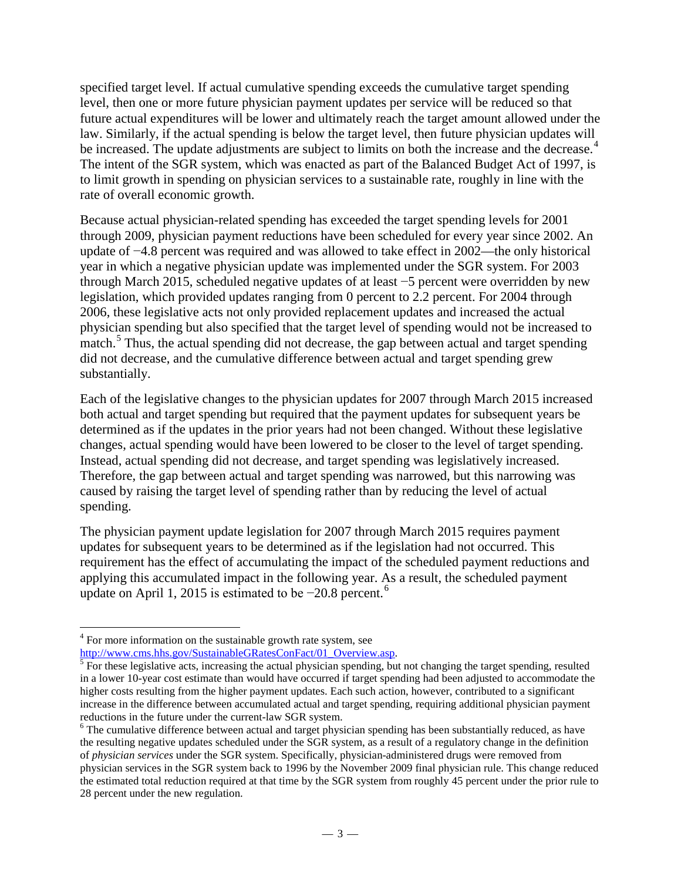specified target level. If actual cumulative spending exceeds the cumulative target spending level, then one or more future physician payment updates per service will be reduced so that future actual expenditures will be lower and ultimately reach the target amount allowed under the law. Similarly, if the actual spending is below the target level, then future physician updates will be increased. The update adjustments are subject to limits on both the increase and the decrease.<sup>[4](#page-2-0)</sup> The intent of the SGR system, which was enacted as part of the Balanced Budget Act of 1997, is to limit growth in spending on physician services to a sustainable rate, roughly in line with the rate of overall economic growth.

Because actual physician-related spending has exceeded the target spending levels for 2001 through 2009, physician payment reductions have been scheduled for every year since 2002. An update of −4.8 percent was required and was allowed to take effect in 2002—the only historical year in which a negative physician update was implemented under the SGR system. For 2003 through March 2015, scheduled negative updates of at least −5 percent were overridden by new legislation, which provided updates ranging from 0 percent to 2.2 percent. For 2004 through 2006, these legislative acts not only provided replacement updates and increased the actual physician spending but also specified that the target level of spending would not be increased to match.<sup>[5](#page-2-1)</sup> Thus, the actual spending did not decrease, the gap between actual and target spending did not decrease, and the cumulative difference between actual and target spending grew substantially.

Each of the legislative changes to the physician updates for 2007 through March 2015 increased both actual and target spending but required that the payment updates for subsequent years be determined as if the updates in the prior years had not been changed. Without these legislative changes, actual spending would have been lowered to be closer to the level of target spending. Instead, actual spending did not decrease, and target spending was legislatively increased. Therefore, the gap between actual and target spending was narrowed, but this narrowing was caused by raising the target level of spending rather than by reducing the level of actual spending.

The physician payment update legislation for 2007 through March 2015 requires payment updates for subsequent years to be determined as if the legislation had not occurred. This requirement has the effect of accumulating the impact of the scheduled payment reductions and applying this accumulated impact in the following year. As a result, the scheduled payment update on April 1, 2015 is estimated to be −20.8 percent.[6](#page-2-2)

<span id="page-2-0"></span> $\overline{a}$ <sup>4</sup> For more information on the sustainable growth rate system, see

<span id="page-2-1"></span> $\frac{http://www.cms.hhs.gov/SustainableGRatesConFact/01_Overview.asp.}\n\frac{5}{\text{For these legislative acts, increasing the actual physician spending, but not changing the target spending, resulted.}$ in a lower 10-year cost estimate than would have occurred if target spending had been adjusted to accommodate the higher costs resulting from the higher payment updates. Each such action, however, contributed to a significant increase in the difference between accumulated actual and target spending, requiring additional physician payment reductions in the future under the current-law SGR system.<br><sup>6</sup> The cumulative difference between actual and target physician spending has been substantially reduced, as have

<span id="page-2-2"></span>the resulting negative updates scheduled under the SGR system, as a result of a regulatory change in the definition of *physician services* under the SGR system. Specifically, physician-administered drugs were removed from physician services in the SGR system back to 1996 by the November 2009 final physician rule. This change reduced the estimated total reduction required at that time by the SGR system from roughly 45 percent under the prior rule to 28 percent under the new regulation.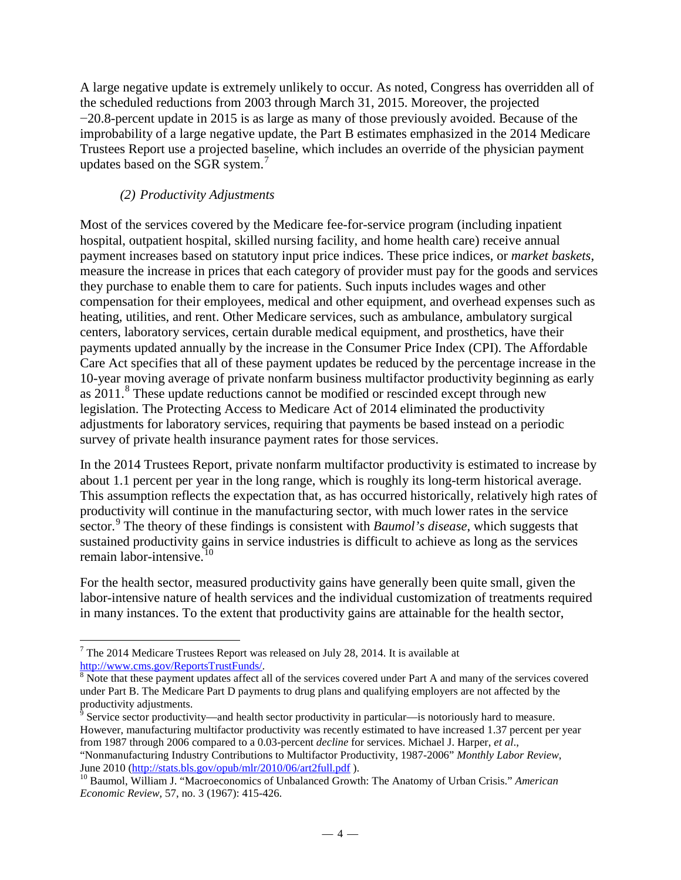A large negative update is extremely unlikely to occur. As noted, Congress has overridden all of the scheduled reductions from 2003 through March 31, 2015. Moreover, the projected −20.8-percent update in 2015 is as large as many of those previously avoided. Because of the improbability of a large negative update, the Part B estimates emphasized in the 2014 Medicare Trustees Report use a projected baseline, which includes an override of the physician payment updates based on the SGR system. $7$ 

# *(2) Productivity Adjustments*

Most of the services covered by the Medicare fee-for-service program (including inpatient hospital, outpatient hospital, skilled nursing facility, and home health care) receive annual payment increases based on statutory input price indices. These price indices, or *market baskets*, measure the increase in prices that each category of provider must pay for the goods and services they purchase to enable them to care for patients. Such inputs includes wages and other compensation for their employees, medical and other equipment, and overhead expenses such as heating, utilities, and rent. Other Medicare services, such as ambulance, ambulatory surgical centers, laboratory services, certain durable medical equipment, and prosthetics, have their payments updated annually by the increase in the Consumer Price Index (CPI). The Affordable Care Act specifies that all of these payment updates be reduced by the percentage increase in the 10-year moving average of private nonfarm business multifactor productivity beginning as early as 2011.<sup>[8](#page-3-1)</sup> These update reductions cannot be modified or rescinded except through new legislation. The Protecting Access to Medicare Act of 2014 eliminated the productivity adjustments for laboratory services, requiring that payments be based instead on a periodic survey of private health insurance payment rates for those services.

In the 2014 Trustees Report, private nonfarm multifactor productivity is estimated to increase by about 1.1 percent per year in the long range, which is roughly its long-term historical average. This assumption reflects the expectation that, as has occurred historically, relatively high rates of productivity will continue in the manufacturing sector, with much lower rates in the service sector.<sup>[9](#page-3-2)</sup> The theory of these findings is consistent with *Baumol's disease*, which suggests that sustained productivity gains in service industries is difficult to achieve as long as the services remain labor-intensive. $10$ 

For the health sector, measured productivity gains have generally been quite small, given the labor-intensive nature of health services and the individual customization of treatments required in many instances. To the extent that productivity gains are attainable for the health sector,

<span id="page-3-0"></span> $\overline{a}$ <sup>7</sup> The 2014 Medicare Trustees Report was released on July 28, 2014. It is available at http://www.cms.gov/ReportsTrustFunds/.

<span id="page-3-1"></span> $8$  Note that these payment updates affect all of the services covered under Part A and many of the services covered under Part B. The Medicare Part D payments to drug plans and qualifying employers are not affected by the

<span id="page-3-2"></span> $\frac{9}{9}$  Service sector productivity—and health sector productivity in particular—is notoriously hard to measure. However, manufacturing multifactor productivity was recently estimated to have increased 1.37 percent per year from 1987 through 2006 compared to a 0.03-percent *decline* for services. Michael J. Harper, *et al*., "Nonmanufacturing Industry Contributions to Multifactor Productivity, 1987-2006" *Monthly Labor Review*,

<span id="page-3-3"></span><sup>&</sup>lt;sup>10</sup> Baumol, William J. "Macroeconomics of Unbalanced Growth: The Anatomy of Urban Crisis." *American Economic Review,* 57, no. 3 (1967): 415-426.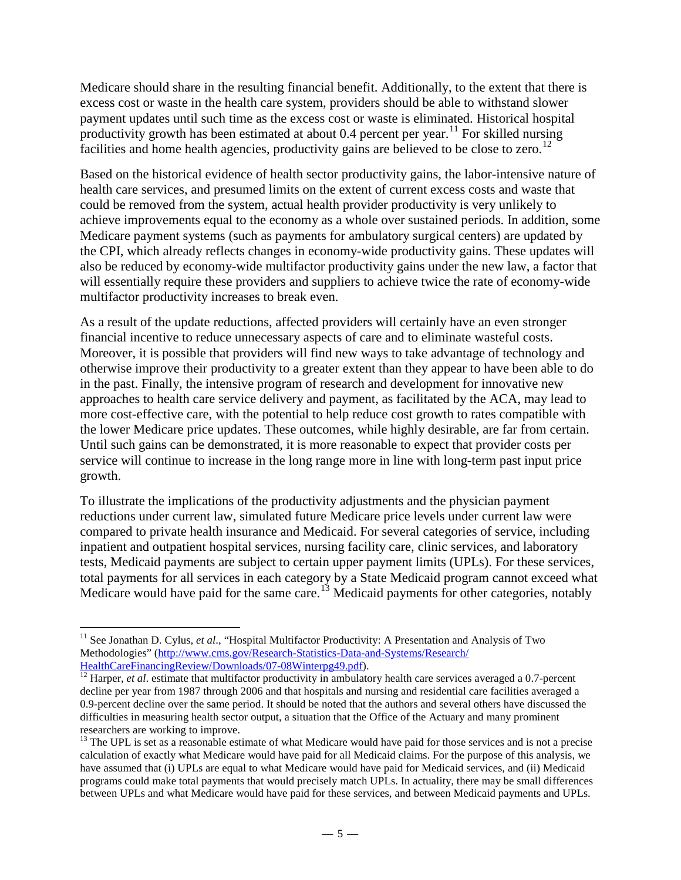Medicare should share in the resulting financial benefit. Additionally, to the extent that there is excess cost or waste in the health care system, providers should be able to withstand slower payment updates until such time as the excess cost or waste is eliminated. Historical hospital productivity growth has been estimated at about 0.4 percent per year.<sup>[11](#page-4-0)</sup> For skilled nursing facilities and home health agencies, productivity gains are believed to be close to zero.<sup>[12](#page-4-1)</sup>

Based on the historical evidence of health sector productivity gains, the labor-intensive nature of health care services, and presumed limits on the extent of current excess costs and waste that could be removed from the system, actual health provider productivity is very unlikely to achieve improvements equal to the economy as a whole over sustained periods. In addition, some Medicare payment systems (such as payments for ambulatory surgical centers) are updated by the CPI, which already reflects changes in economy-wide productivity gains. These updates will also be reduced by economy-wide multifactor productivity gains under the new law, a factor that will essentially require these providers and suppliers to achieve twice the rate of economy-wide multifactor productivity increases to break even.

As a result of the update reductions, affected providers will certainly have an even stronger financial incentive to reduce unnecessary aspects of care and to eliminate wasteful costs. Moreover, it is possible that providers will find new ways to take advantage of technology and otherwise improve their productivity to a greater extent than they appear to have been able to do in the past. Finally, the intensive program of research and development for innovative new approaches to health care service delivery and payment, as facilitated by the ACA, may lead to more cost-effective care, with the potential to help reduce cost growth to rates compatible with the lower Medicare price updates. These outcomes, while highly desirable, are far from certain. Until such gains can be demonstrated, it is more reasonable to expect that provider costs per service will continue to increase in the long range more in line with long-term past input price growth.

To illustrate the implications of the productivity adjustments and the physician payment reductions under current law, simulated future Medicare price levels under current law were compared to private health insurance and Medicaid. For several categories of service, including inpatient and outpatient hospital services, nursing facility care, clinic services, and laboratory tests, Medicaid payments are subject to certain upper payment limits (UPLs). For these services, total payments for all services in each category by a State Medicaid program cannot exceed what Medicare would have paid for the same care.<sup>13</sup> Medicaid payments for other categories, notably

<span id="page-4-0"></span> $\overline{a}$ <sup>11</sup> See Jonathan D. Cylus, et al., "Hospital Multifactor Productivity: A Presentation and Analysis of Two Methodologies" [\(http://www.cms.gov/Research-Statistics-Data-and-Systems/Research/](http://www.cms.gov/Research-Statistics-Data-and-Systems/Research/HealthCareFinancingReview/Downloads/07-08Winterpg49.pdf)<br>HealthCareFinancingReview/Downloads/07-08Winterpg49.pdf).

<span id="page-4-1"></span> $\frac{12}{12}$  $\frac{12}{12}$  $\frac{12}{12}$  Harper, *et al.* estimate that multifactor productivity in ambulatory health care services averaged a 0.7-percent decline per year from 1987 through 2006 and that hospitals and nursing and residential care facilities averaged a 0.9-percent decline over the same period. It should be noted that the authors and several others have discussed the difficulties in measuring health sector output, a situation that the Office of the Actuary and many prominent researchers are working to improve.

<span id="page-4-2"></span><sup>&</sup>lt;sup>13</sup> The UPL is set as a reasonable estimate of what Medicare would have paid for those services and is not a precise calculation of exactly what Medicare would have paid for all Medicaid claims. For the purpose of this analysis, we have assumed that (i) UPLs are equal to what Medicare would have paid for Medicaid services, and (ii) Medicaid programs could make total payments that would precisely match UPLs. In actuality, there may be small differences between UPLs and what Medicare would have paid for these services, and between Medicaid payments and UPLs.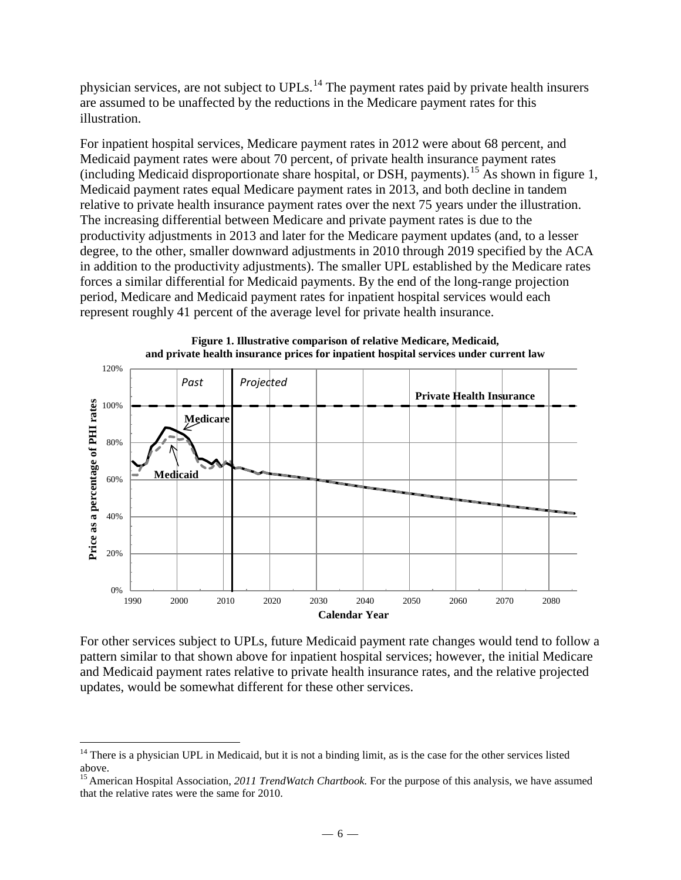physician services, are not subject to UPLs.<sup>[14](#page-5-0)</sup> The payment rates paid by private health insurers are assumed to be unaffected by the reductions in the Medicare payment rates for this illustration.

For inpatient hospital services, Medicare payment rates in 2012 were about 68 percent, and Medicaid payment rates were about 70 percent, of private health insurance payment rates (including Medicaid disproportionate share hospital, or DSH, payments).[15](#page-5-1) As shown in figure 1, Medicaid payment rates equal Medicare payment rates in 2013, and both decline in tandem relative to private health insurance payment rates over the next 75 years under the illustration. The increasing differential between Medicare and private payment rates is due to the productivity adjustments in 2013 and later for the Medicare payment updates (and, to a lesser degree, to the other, smaller downward adjustments in 2010 through 2019 specified by the ACA in addition to the productivity adjustments). The smaller UPL established by the Medicare rates forces a similar differential for Medicaid payments. By the end of the long-range projection period, Medicare and Medicaid payment rates for inpatient hospital services would each represent roughly 41 percent of the average level for private health insurance.



**Figure 1. Illustrative comparison of relative Medicare, Medicaid,** 

For other services subject to UPLs, future Medicaid payment rate changes would tend to follow a pattern similar to that shown above for inpatient hospital services; however, the initial Medicare and Medicaid payment rates relative to private health insurance rates, and the relative projected updates, would be somewhat different for these other services.

 $\overline{a}$ 

<span id="page-5-0"></span><sup>&</sup>lt;sup>14</sup> There is a physician UPL in Medicaid, but it is not a binding limit, as is the case for the other services listed above.

<span id="page-5-1"></span><sup>&</sup>lt;sup>15</sup> American Hospital Association, 2011 TrendWatch Chartbook. For the purpose of this analysis, we have assumed that the relative rates were the same for 2010.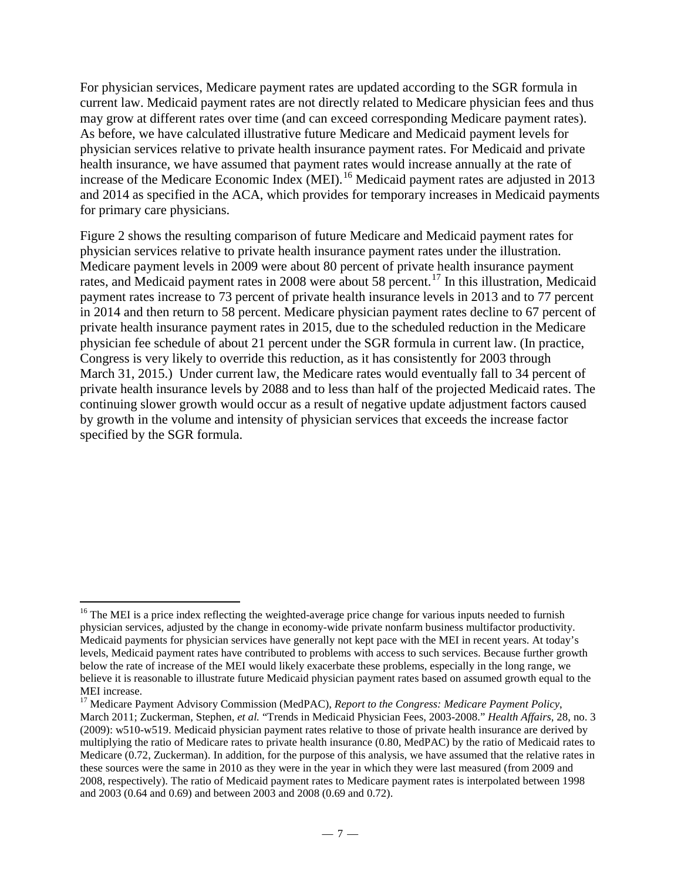For physician services, Medicare payment rates are updated according to the SGR formula in current law. Medicaid payment rates are not directly related to Medicare physician fees and thus may grow at different rates over time (and can exceed corresponding Medicare payment rates). As before, we have calculated illustrative future Medicare and Medicaid payment levels for physician services relative to private health insurance payment rates. For Medicaid and private health insurance, we have assumed that payment rates would increase annually at the rate of increase of the Medicare Economic Index (MEI).<sup>[16](#page-6-0)</sup> Medicaid payment rates are adjusted in 2013 and 2014 as specified in the ACA, which provides for temporary increases in Medicaid payments for primary care physicians.

Figure 2 shows the resulting comparison of future Medicare and Medicaid payment rates for physician services relative to private health insurance payment rates under the illustration. Medicare payment levels in 2009 were about 80 percent of private health insurance payment rates, and Medicaid payment rates in 2008 were about 58 percent.<sup>[17](#page-6-1)</sup> In this illustration, Medicaid payment rates increase to 73 percent of private health insurance levels in 2013 and to 77 percent in 2014 and then return to 58 percent. Medicare physician payment rates decline to 67 percent of private health insurance payment rates in 2015, due to the scheduled reduction in the Medicare physician fee schedule of about 21 percent under the SGR formula in current law. (In practice, Congress is very likely to override this reduction, as it has consistently for 2003 through March 31, 2015.) Under current law, the Medicare rates would eventually fall to 34 percent of private health insurance levels by 2088 and to less than half of the projected Medicaid rates. The continuing slower growth would occur as a result of negative update adjustment factors caused by growth in the volume and intensity of physician services that exceeds the increase factor specified by the SGR formula.

<span id="page-6-0"></span><sup>&</sup>lt;sup>16</sup> The MEI is a price index reflecting the weighted-average price change for various inputs needed to furnish physician services, adjusted by the change in economy-wide private nonfarm business multifactor productivity. Medicaid payments for physician services have generally not kept pace with the MEI in recent years. At today's levels, Medicaid payment rates have contributed to problems with access to such services. Because further growth below the rate of increase of the MEI would likely exacerbate these problems, especially in the long range, we believe it is reasonable to illustrate future Medicaid physician payment rates based on assumed growth equal to the MEI increase.

<span id="page-6-1"></span><sup>17</sup> Medicare Payment Advisory Commission (MedPAC), *Report to the Congress: Medicare Payment Policy*, March 2011; Zuckerman, Stephen, *et al.* "Trends in Medicaid Physician Fees, 2003-2008." *Health Affairs*, 28, no. 3 (2009): w510-w519. Medicaid physician payment rates relative to those of private health insurance are derived by multiplying the ratio of Medicare rates to private health insurance (0.80, MedPAC) by the ratio of Medicaid rates to Medicare (0.72, Zuckerman). In addition, for the purpose of this analysis, we have assumed that the relative rates in these sources were the same in 2010 as they were in the year in which they were last measured (from 2009 and 2008, respectively). The ratio of Medicaid payment rates to Medicare payment rates is interpolated between 1998 and 2003 (0.64 and 0.69) and between 2003 and 2008 (0.69 and 0.72).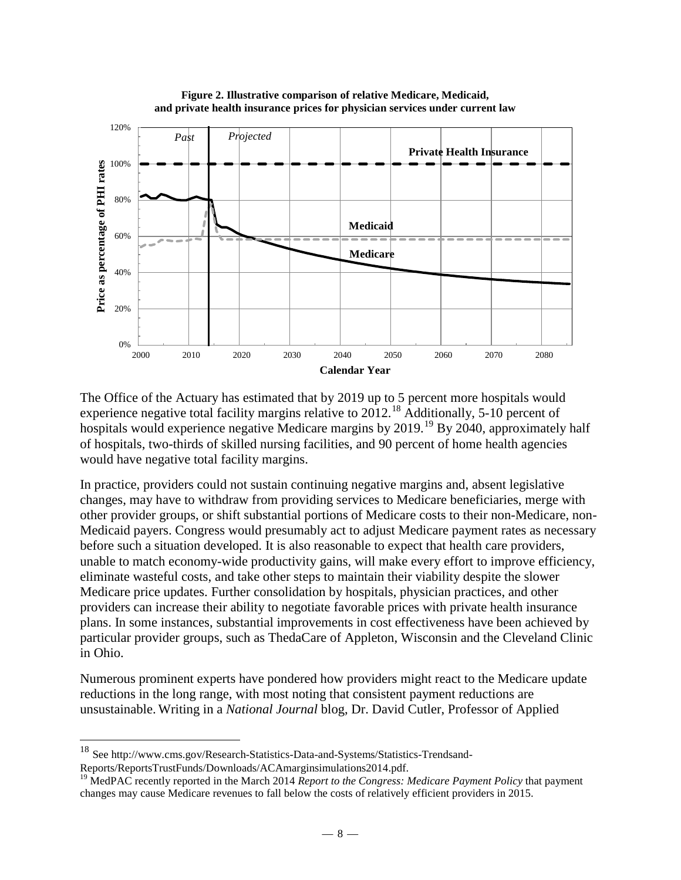

**Figure 2. Illustrative comparison of relative Medicare, Medicaid, and private health insurance prices for physician services under current law**

The Office of the Actuary has estimated that by 2019 up to 5 percent more hospitals would experience negative total facility margins relative to 2012.<sup>18</sup> Additionally, 5-10 percent of hospitals would experience negative Medicare margins by 2019.<sup>19</sup> By 2040, approximately half of hospitals, two-thirds of skilled nursing facilities, and 90 percent of home health agencies would have negative total facility margins.

In practice, providers could not sustain continuing negative margins and, absent legislative changes, may have to withdraw from providing services to Medicare beneficiaries, merge with other provider groups, or shift substantial portions of Medicare costs to their non-Medicare, non-Medicaid payers. Congress would presumably act to adjust Medicare payment rates as necessary before such a situation developed. It is also reasonable to expect that health care providers, unable to match economy-wide productivity gains, will make every effort to improve efficiency, eliminate wasteful costs, and take other steps to maintain their viability despite the slower Medicare price updates. Further consolidation by hospitals, physician practices, and other providers can increase their ability to negotiate favorable prices with private health insurance plans. In some instances, substantial improvements in cost effectiveness have been achieved by particular provider groups, such as ThedaCare of Appleton, Wisconsin and the Cleveland Clinic in Ohio.

Numerous prominent experts have pondered how providers might react to the Medicare update reductions in the long range, with most noting that consistent payment reductions are unsustainable. Writing in a *National Journal* blog, Dr. David Cutler, Professor of Applied

 $\overline{a}$ 

<span id="page-7-0"></span><sup>&</sup>lt;sup>18</sup> See [http://www.cms.gov/Research-Statistics-Data-and-Systems/Statistics-Trendsand-](http://www.cms.gov/Research-Statistics-Data-and-Systems/Statistics-Trends-and-Reports/ReportsTrustFunds/Downloads/ProjectionMethodology2014.pdf)

<span id="page-7-1"></span>[Reports/ReportsTrustFunds/Downloads/ACAmarginsimulations2014.pdf.](http://www.cms.gov/Research-Statistics-Data-and-Systems/Statistics-Trends-and-Reports/ReportsTrustFunds/Downloads/ProjectionMethodology2014.pdf) <sup>19</sup> MedPAC recently reported in the March 2014 *Report to the Congress: Medicare Payment Policy* that payment changes may cause Medicare revenues to fall below the costs of relatively efficient providers in 2015.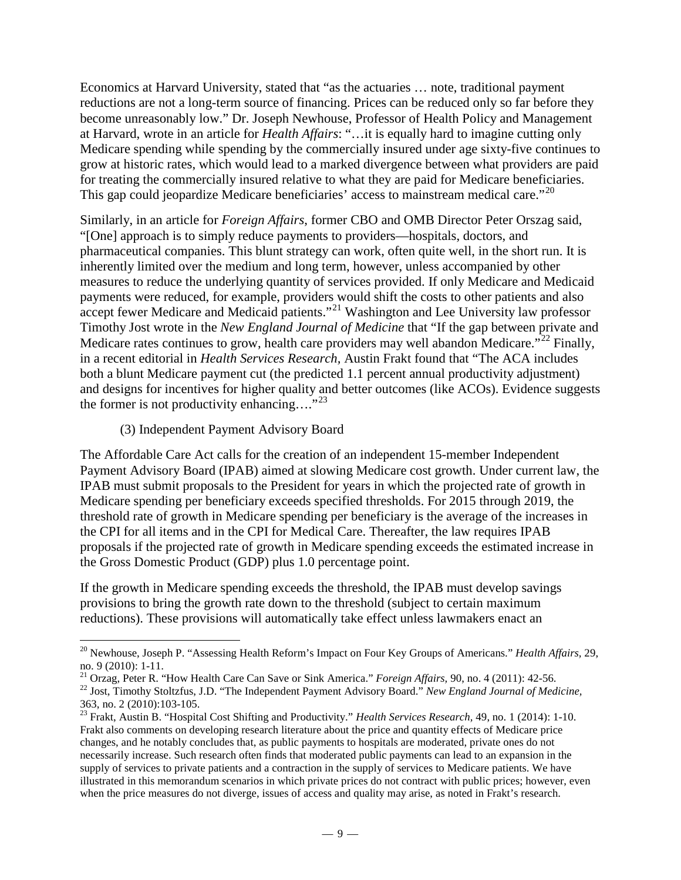Economics at Harvard University, stated that "as the actuaries … note, traditional payment reductions are not a long-term source of financing. Prices can be reduced only so far before they become unreasonably low." Dr. Joseph Newhouse, Professor of Health Policy and Management at Harvard, wrote in an article for *Health Affairs*: "…it is equally hard to imagine cutting only Medicare spending while spending by the commercially insured under age sixty-five continues to grow at historic rates, which would lead to a marked divergence between what providers are paid for treating the commercially insured relative to what they are paid for Medicare beneficiaries. This gap could jeopardize Medicare beneficiaries' access to mainstream medical care."<sup>[20](#page-8-0)</sup>

Similarly, in an article for *Foreign Affairs*, former CBO and OMB Director Peter Orszag said, "[One] approach is to simply reduce payments to providers—hospitals, doctors, and pharmaceutical companies. This blunt strategy can work, often quite well, in the short run. It is inherently limited over the medium and long term, however, unless accompanied by other measures to reduce the underlying quantity of services provided. If only Medicare and Medicaid payments were reduced, for example, providers would shift the costs to other patients and also accept fewer Medicare and Medicaid patients."<sup>[21](#page-8-1)</sup> Washington and Lee University law professor Timothy Jost wrote in the *New England Journal of Medicine* that "If the gap between private and Medicare rates continues to grow, health care providers may well abandon Medicare."<sup>[22](#page-8-2)</sup> Finally, in a recent editorial in *Health Services Research,* Austin Frakt found that "The ACA includes both a blunt Medicare payment cut (the predicted 1.1 percent annual productivity adjustment) and designs for incentives for higher quality and better outcomes (like ACOs). Evidence suggests the former is not productivity enhancing.... $^{32}$ 

## (3) Independent Payment Advisory Board

The Affordable Care Act calls for the creation of an independent 15-member Independent Payment Advisory Board (IPAB) aimed at slowing Medicare cost growth. Under current law, the IPAB must submit proposals to the President for years in which the projected rate of growth in Medicare spending per beneficiary exceeds specified thresholds. For 2015 through 2019, the threshold rate of growth in Medicare spending per beneficiary is the average of the increases in the CPI for all items and in the CPI for Medical Care. Thereafter, the law requires IPAB proposals if the projected rate of growth in Medicare spending exceeds the estimated increase in the Gross Domestic Product (GDP) plus 1.0 percentage point.

If the growth in Medicare spending exceeds the threshold, the IPAB must develop savings provisions to bring the growth rate down to the threshold (subject to certain maximum reductions). These provisions will automatically take effect unless lawmakers enact an

<span id="page-8-0"></span><sup>&</sup>lt;sup>20</sup> Newhouse, Joseph P. "Assessing Health Reform's Impact on Four Key Groups of Americans." *Health Affairs*, 29, no. 9 (2010): 1-11.

<span id="page-8-2"></span><span id="page-8-1"></span><sup>&</sup>lt;sup>21</sup> Orzag, Peter R. "How Health Care Can Save or Sink America." *Foreign Affairs*, 90, no. 4 (2011): 42-56.<br><sup>22</sup> Jost, Timothy Stoltzfus, J.D. "The Independent Payment Advisory Board." *New England Journal of Medicine*,

<span id="page-8-3"></span><sup>&</sup>lt;sup>23</sup> Frakt, Austin B. "Hospital Cost Shifting and Productivity." *Health Services Research*, 49, no. 1 (2014): 1-10. Frakt also comments on developing research literature about the price and quantity effects of Medicare price changes, and he notably concludes that, as public payments to hospitals are moderated, private ones do not necessarily increase. Such research often finds that moderated public payments can lead to an expansion in the supply of services to private patients and a contraction in the supply of services to Medicare patients. We have illustrated in this memorandum scenarios in which private prices do not contract with public prices; however, even when the price measures do not diverge, issues of access and quality may arise, as noted in Frakt's research.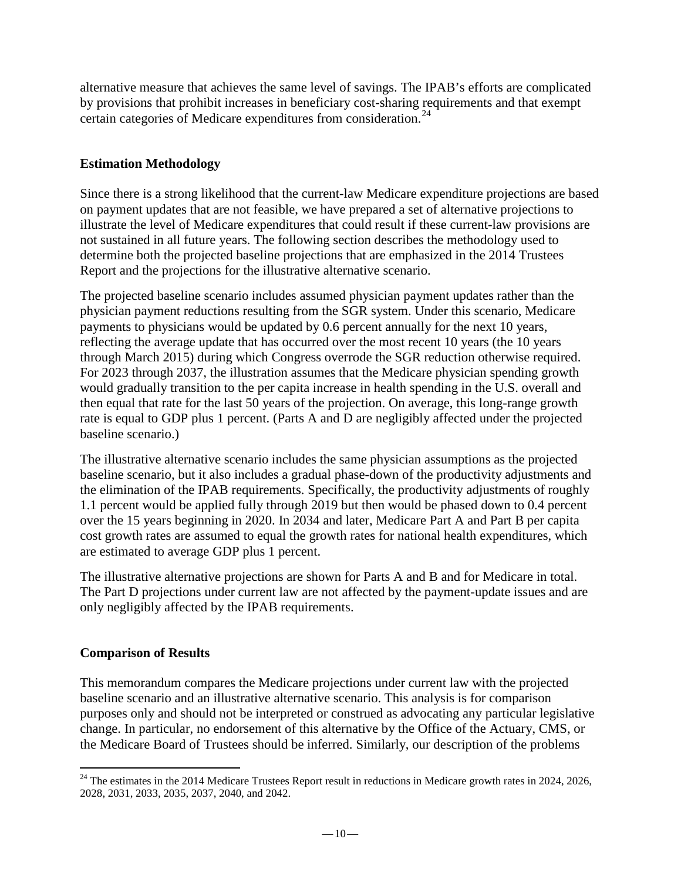alternative measure that achieves the same level of savings. The IPAB's efforts are complicated by provisions that prohibit increases in beneficiary cost-sharing requirements and that exempt certain categories of Medicare expenditures from consideration.<sup>[24](#page-9-0)</sup>

# **Estimation Methodology**

Since there is a strong likelihood that the current-law Medicare expenditure projections are based on payment updates that are not feasible, we have prepared a set of alternative projections to illustrate the level of Medicare expenditures that could result if these current-law provisions are not sustained in all future years. The following section describes the methodology used to determine both the projected baseline projections that are emphasized in the 2014 Trustees Report and the projections for the illustrative alternative scenario.

The projected baseline scenario includes assumed physician payment updates rather than the physician payment reductions resulting from the SGR system. Under this scenario, Medicare payments to physicians would be updated by 0.6 percent annually for the next 10 years, reflecting the average update that has occurred over the most recent 10 years (the 10 years through March 2015) during which Congress overrode the SGR reduction otherwise required. For 2023 through 2037, the illustration assumes that the Medicare physician spending growth would gradually transition to the per capita increase in health spending in the U.S. overall and then equal that rate for the last 50 years of the projection. On average, this long-range growth rate is equal to GDP plus 1 percent. (Parts A and D are negligibly affected under the projected baseline scenario.)

The illustrative alternative scenario includes the same physician assumptions as the projected baseline scenario, but it also includes a gradual phase-down of the productivity adjustments and the elimination of the IPAB requirements. Specifically, the productivity adjustments of roughly 1.1 percent would be applied fully through 2019 but then would be phased down to 0.4 percent over the 15 years beginning in 2020. In 2034 and later, Medicare Part A and Part B per capita cost growth rates are assumed to equal the growth rates for national health expenditures, which are estimated to average GDP plus 1 percent.

The illustrative alternative projections are shown for Parts A and B and for Medicare in total. The Part D projections under current law are not affected by the payment-update issues and are only negligibly affected by the IPAB requirements.

## **Comparison of Results**

This memorandum compares the Medicare projections under current law with the projected baseline scenario and an illustrative alternative scenario. This analysis is for comparison purposes only and should not be interpreted or construed as advocating any particular legislative change. In particular, no endorsement of this alternative by the Office of the Actuary, CMS, or the Medicare Board of Trustees should be inferred. Similarly, our description of the problems

<span id="page-9-0"></span> $24$  The estimates in the 2014 Medicare Trustees Report result in reductions in Medicare growth rates in 2024, 2026, 2028, 2031, 2033, 2035, 2037, 2040, and 2042.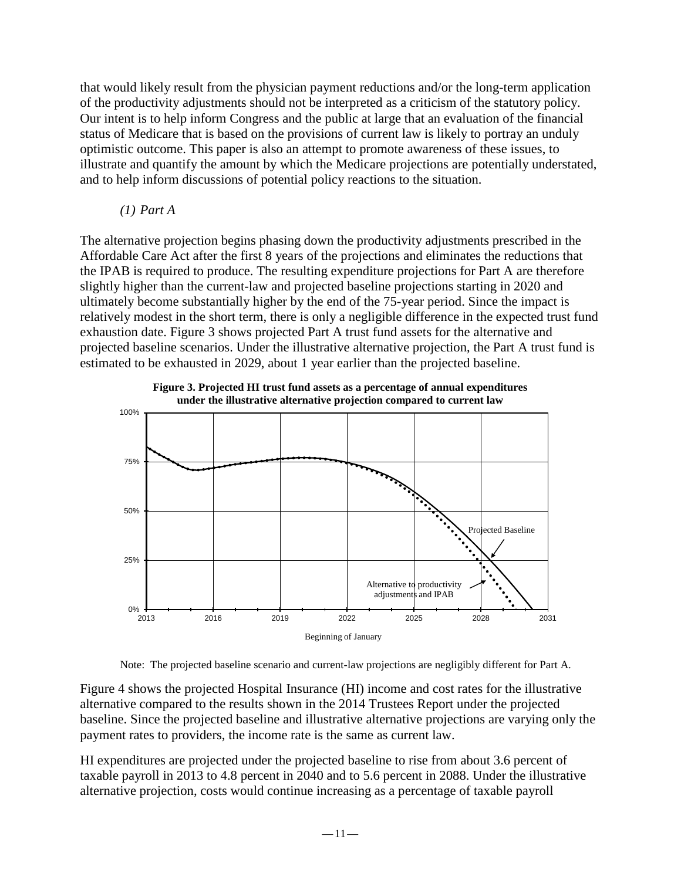that would likely result from the physician payment reductions and/or the long-term application of the productivity adjustments should not be interpreted as a criticism of the statutory policy. Our intent is to help inform Congress and the public at large that an evaluation of the financial status of Medicare that is based on the provisions of current law is likely to portray an unduly optimistic outcome. This paper is also an attempt to promote awareness of these issues, to illustrate and quantify the amount by which the Medicare projections are potentially understated, and to help inform discussions of potential policy reactions to the situation.

## *(1) Part A*

The alternative projection begins phasing down the productivity adjustments prescribed in the Affordable Care Act after the first 8 years of the projections and eliminates the reductions that the IPAB is required to produce. The resulting expenditure projections for Part A are therefore slightly higher than the current-law and projected baseline projections starting in 2020 and ultimately become substantially higher by the end of the 75-year period. Since the impact is relatively modest in the short term, there is only a negligible difference in the expected trust fund exhaustion date. Figure 3 shows projected Part A trust fund assets for the alternative and projected baseline scenarios. Under the illustrative alternative projection, the Part A trust fund is estimated to be exhausted in 2029, about 1 year earlier than the projected baseline.



**Figure 3. Projected HI trust fund assets as a percentage of annual expenditures**

Note: The projected baseline scenario and current-law projections are negligibly different for Part A.

Figure 4 shows the projected Hospital Insurance (HI) income and cost rates for the illustrative alternative compared to the results shown in the 2014 Trustees Report under the projected baseline. Since the projected baseline and illustrative alternative projections are varying only the payment rates to providers, the income rate is the same as current law.

HI expenditures are projected under the projected baseline to rise from about 3.6 percent of taxable payroll in 2013 to 4.8 percent in 2040 and to 5.6 percent in 2088. Under the illustrative alternative projection, costs would continue increasing as a percentage of taxable payroll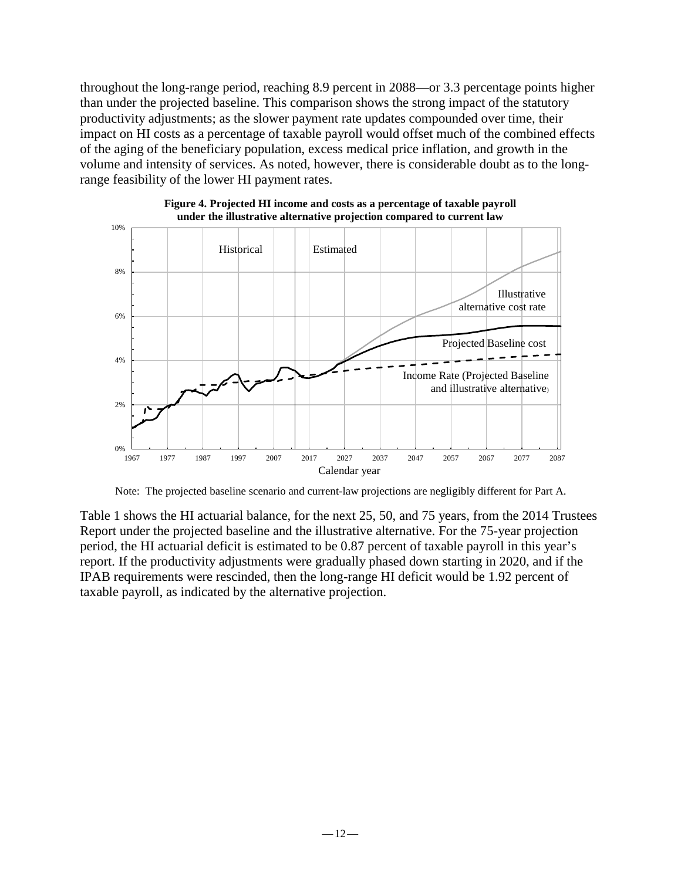throughout the long-range period, reaching 8.9 percent in 2088—or 3.3 percentage points higher than under the projected baseline. This comparison shows the strong impact of the statutory productivity adjustments; as the slower payment rate updates compounded over time, their impact on HI costs as a percentage of taxable payroll would offset much of the combined effects of the aging of the beneficiary population, excess medical price inflation, and growth in the volume and intensity of services. As noted, however, there is considerable doubt as to the longrange feasibility of the lower HI payment rates.



**Figure 4. Projected HI income and costs as a percentage of taxable payroll under the illustrative alternative projection compared to current law**

Note: The projected baseline scenario and current-law projections are negligibly different for Part A.

Table 1 shows the HI actuarial balance, for the next 25, 50, and 75 years, from the 2014 Trustees Report under the projected baseline and the illustrative alternative. For the 75-year projection period, the HI actuarial deficit is estimated to be 0.87 percent of taxable payroll in this year's report. If the productivity adjustments were gradually phased down starting in 2020, and if the IPAB requirements were rescinded, then the long-range HI deficit would be 1.92 percent of taxable payroll, as indicated by the alternative projection.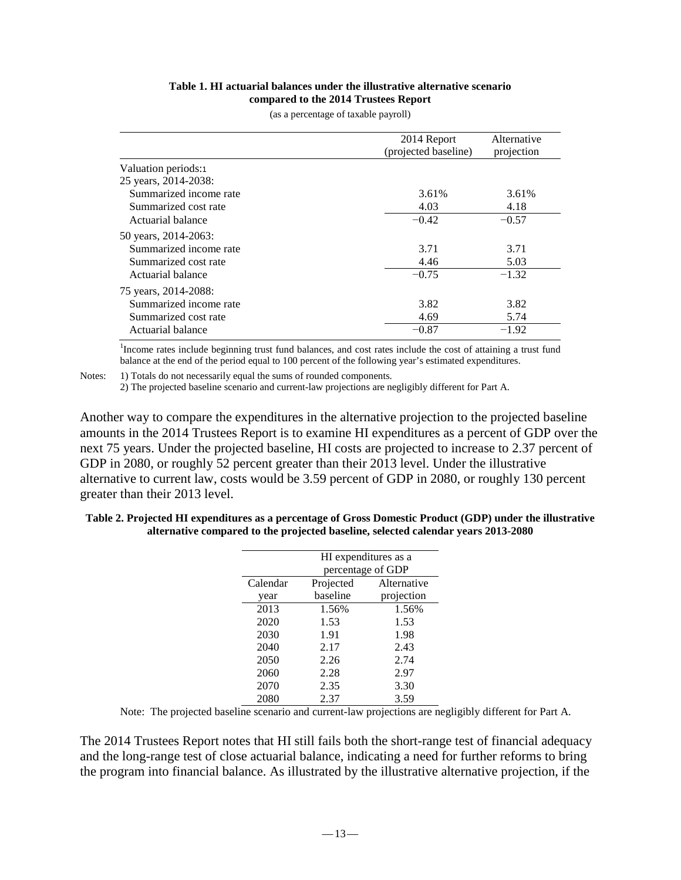#### **Table 1. HI actuarial balances under the illustrative alternative scenario compared to the 2014 Trustees Report**

|                        | 2014 Report          | Alternative |
|------------------------|----------------------|-------------|
|                        | (projected baseline) | projection  |
| Valuation periods:1    |                      |             |
| 25 years, 2014-2038:   |                      |             |
| Summarized income rate | 3.61%                | 3.61%       |
| Summarized cost rate   | 4.03                 | 4.18        |
| Actuarial balance      | $-0.42$              | $-0.57$     |
| 50 years, 2014-2063:   |                      |             |
| Summarized income rate | 3.71                 | 3.71        |
| Summarized cost rate   | 4.46                 | 5.03        |
| Actuarial balance      | $-0.75$              | $-1.32$     |

(as a percentage of taxable payroll)

<sup>1</sup>Income rates include beginning trust fund balances, and cost rates include the cost of attaining a trust fund balance at the end of the period equal to 100 percent of the following year's estimated expenditures.

Summarized income rate 3.82 3.82 3.82 Summarized cost rate 5.74 Actuarial balance  $-0.87 -1.92$ 

<span id="page-12-0"></span>Notes: 1) Totals do not necessarily equal the sums of rounded components.

75 years, 2014-2088:

2) The projected baseline scenario and current-law projections are negligibly different for Part A.

Another way to compare the expenditures in the alternative projection to the projected baseline amounts in the 2014 Trustees Report is to examine HI expenditures as a percent of GDP over the next 75 years. Under the projected baseline, HI costs are projected to increase to 2.37 percent of GDP in 2080, or roughly 52 percent greater than their 2013 level. Under the illustrative alternative to current law, costs would be 3.59 percent of GDP in 2080, or roughly 130 percent greater than their 2013 level.

| Table 2. Projected HI expenditures as a percentage of Gross Domestic Product (GDP) under the illustrative |
|-----------------------------------------------------------------------------------------------------------|
| alternative compared to the projected baseline, selected calendar years 2013-2080                         |

|          | HI expenditures as a<br>percentage of GDP |             |  |  |
|----------|-------------------------------------------|-------------|--|--|
| Calendar | Projected                                 | Alternative |  |  |
| year     | baseline                                  | projection  |  |  |
| 2013     | 1.56%                                     | 1.56%       |  |  |
| 2020     | 1.53                                      | 1.53        |  |  |
| 2030     | 1.91                                      | 1.98        |  |  |
| 2040     | 2.17                                      | 2.43        |  |  |
| 2050     | 2.26                                      | 2.74        |  |  |
| 2060     | 2.28                                      | 2.97        |  |  |
| 2070     | 2.35                                      | 3.30        |  |  |
| 2080     | 2.37                                      | 3.59        |  |  |

Note: The projected baseline scenario and current-law projections are negligibly different for Part A.

The 2014 Trustees Report notes that HI still fails both the short-range test of financial adequacy and the long-range test of close actuarial balance, indicating a need for further reforms to bring the program into financial balance. As illustrated by the illustrative alternative projection, if the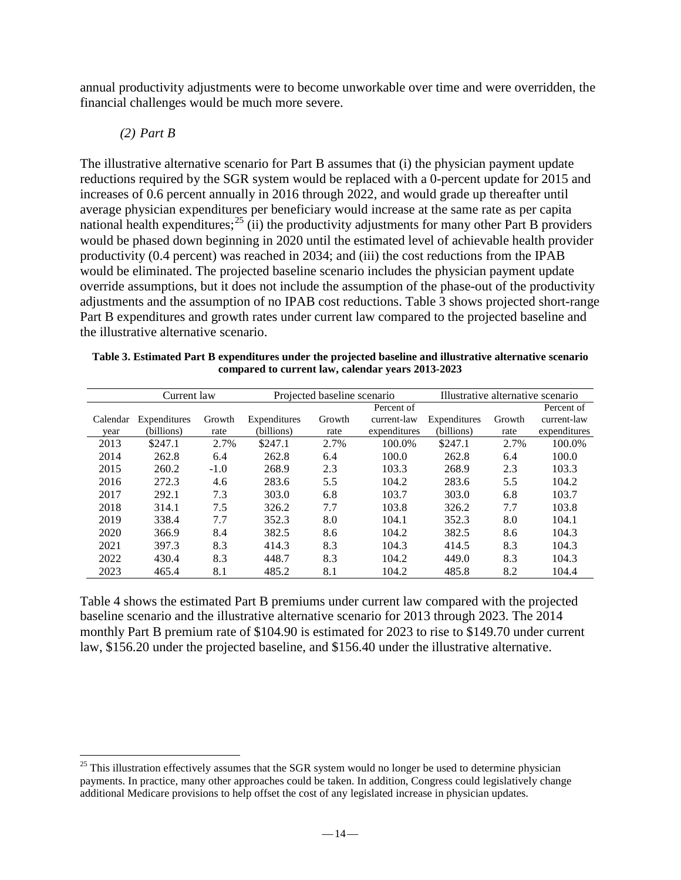annual productivity adjustments were to become unworkable over time and were overridden, the financial challenges would be much more severe.

*(2) Part B*

The illustrative alternative scenario for Part B assumes that (i) the physician payment update reductions required by the SGR system would be replaced with a 0-percent update for 2015 and increases of 0.6 percent annually in 2016 through 2022, and would grade up thereafter until average physician expenditures per beneficiary would increase at the same rate as per capita national health expenditures;<sup>[25](#page-13-0)</sup> (ii) the productivity adjustments for many other Part B providers would be phased down beginning in 2020 until the estimated level of achievable health provider productivity (0.4 percent) was reached in 2034; and (iii) the cost reductions from the IPAB would be eliminated. The projected baseline scenario includes the physician payment update override assumptions, but it does not include the assumption of the phase-out of the productivity adjustments and the assumption of no IPAB cost reductions. Table 3 shows projected short-range Part B expenditures and growth rates under current law compared to the projected baseline and the illustrative alternative scenario.

| compared to current law, calendar years 2013-2023 |                                            |        |              |                                   |              |              |        |              |
|---------------------------------------------------|--------------------------------------------|--------|--------------|-----------------------------------|--------------|--------------|--------|--------------|
|                                                   | Projected baseline scenario<br>Current law |        |              | Illustrative alternative scenario |              |              |        |              |
|                                                   |                                            |        |              |                                   | Percent of   |              |        | Percent of   |
| Calendar                                          | Expenditures                               | Growth | Expenditures | Growth                            | current-law  | Expenditures | Growth | current-law  |
| vear                                              | (billions)                                 | rate   | (billions)   | rate                              | expenditures | (billions)   | rate   | expenditures |
| 2013                                              | \$247.1                                    | 2.7%   | \$247.1      | 2.7%                              | 100.0%       | \$247.1      | 2.7%   | 100.0%       |
| 2014                                              | 262.8                                      | 6.4    | 262.8        | 6.4                               | 100.0        | 262.8        | 6.4    | 100.0        |
| 2015                                              | 260.2                                      | $-1.0$ | 268.9        | 2.3                               | 103.3        | 268.9        | 2.3    | 103.3        |
| 2016                                              | 272.3                                      | 4.6    | 283.6        | 5.5                               | 104.2        | 283.6        | 5.5    | 104.2        |
| 2017                                              | 292.1                                      | 7.3    | 303.0        | 6.8                               | 103.7        | 303.0        | 6.8    | 103.7        |
| 2018                                              | 314.1                                      | 7.5    | 326.2        | 7.7                               | 103.8        | 326.2        | 7.7    | 103.8        |
| 2019                                              | 338.4                                      | 7.7    | 352.3        | 8.0                               | 104.1        | 352.3        | 8.0    | 104.1        |
| 2020                                              | 366.9                                      | 8.4    | 382.5        | 8.6                               | 104.2        | 382.5        | 8.6    | 104.3        |
| 2021                                              | 397.3                                      | 8.3    | 414.3        | 8.3                               | 104.3        | 414.5        | 8.3    | 104.3        |
| 2022                                              | 430.4                                      | 8.3    | 448.7        | 8.3                               | 104.2        | 449.0        | 8.3    | 104.3        |

**Table 3. Estimated Part B expenditures under the projected baseline and illustrative alternative scenario compared to current law, calendar years 2013-2023**

Table 4 shows the estimated Part B premiums under current law compared with the projected baseline scenario and the illustrative alternative scenario for 2013 through 2023. The 2014 monthly Part B premium rate of \$104.90 is estimated for 2023 to rise to \$149.70 under current law, \$156.20 under the projected baseline, and \$156.40 under the illustrative alternative.

2023 465.4 8.1 485.2 8.1 104.2 485.8 8.2 104.4

<span id="page-13-0"></span> $25$  This illustration effectively assumes that the SGR system would no longer be used to determine physician payments. In practice, many other approaches could be taken. In addition, Congress could legislatively change additional Medicare provisions to help offset the cost of any legislated increase in physician updates.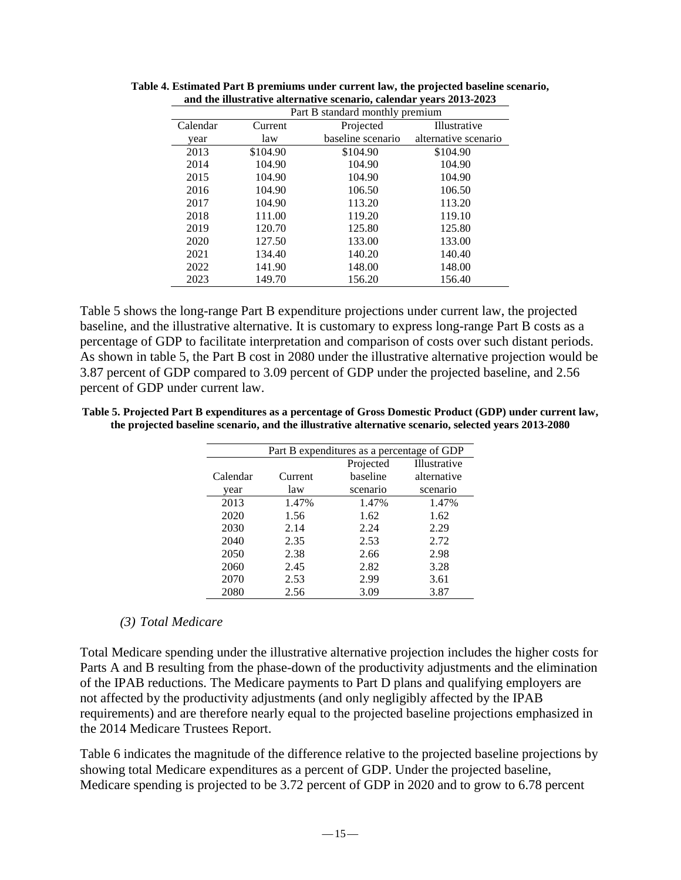| Part B standard monthly premium |          |                   |                      |  |
|---------------------------------|----------|-------------------|----------------------|--|
| Calendar                        | Current  | Projected         | Illustrative         |  |
| year                            | law      | baseline scenario | alternative scenario |  |
| 2013                            | \$104.90 | \$104.90          | \$104.90             |  |
| 2014                            | 104.90   | 104.90            | 104.90               |  |
| 2015                            | 104.90   | 104.90            | 104.90               |  |
| 2016                            | 104.90   | 106.50            | 106.50               |  |
| 2017                            | 104.90   | 113.20            | 113.20               |  |
| 2018                            | 111.00   | 119.20            | 119.10               |  |
| 2019                            | 120.70   | 125.80            | 125.80               |  |
| 2020                            | 127.50   | 133.00            | 133.00               |  |
| 2021                            | 134.40   | 140.20            | 140.40               |  |
| 2022                            | 141.90   | 148.00            | 148.00               |  |
| 2023                            | 149.70   | 156.20            | 156.40               |  |

**Table 4. Estimated Part B premiums under current law, the projected baseline scenario, and the illustrative alternative scenario, calendar years 2013-2023** 

Table 5 shows the long-range Part B expenditure projections under current law, the projected baseline, and the illustrative alternative. It is customary to express long-range Part B costs as a percentage of GDP to facilitate interpretation and comparison of costs over such distant periods. As shown in table 5, the Part B cost in 2080 under the illustrative alternative projection would be 3.87 percent of GDP compared to 3.09 percent of GDP under the projected baseline, and 2.56 percent of GDP under current law.

**Table 5. Projected Part B expenditures as a percentage of Gross Domestic Product (GDP) under current law, the projected baseline scenario, and the illustrative alternative scenario, selected years 2013-2080**

| Part B expenditures as a percentage of GDP |         |           |              |  |
|--------------------------------------------|---------|-----------|--------------|--|
|                                            |         | Projected | Illustrative |  |
| Calendar                                   | Current | baseline  | alternative  |  |
| year                                       | law     | scenario  | scenario     |  |
| 2013                                       | 1.47%   | 1.47%     | 1.47%        |  |
| 2020                                       | 1.56    | 1.62      | 1.62         |  |
| 2030                                       | 2.14    | 2.24      | 2.29         |  |
| 2040                                       | 2.35    | 2.53      | 2.72         |  |
| 2050                                       | 2.38    | 2.66      | 2.98         |  |
| 2060                                       | 2.45    | 2.82      | 3.28         |  |
| 2070                                       | 2.53    | 2.99      | 3.61         |  |
| 2080                                       | 2.56    | 3.09      | 3.87         |  |

#### *(3) Total Medicare*

Total Medicare spending under the illustrative alternative projection includes the higher costs for Parts A and B resulting from the phase-down of the productivity adjustments and the elimination of the IPAB reductions. The Medicare payments to Part D plans and qualifying employers are not affected by the productivity adjustments (and only negligibly affected by the IPAB requirements) and are therefore nearly equal to the projected baseline projections emphasized in the 2014 Medicare Trustees Report.

Table 6 indicates the magnitude of the difference relative to the projected baseline projections by showing total Medicare expenditures as a percent of GDP. Under the projected baseline, Medicare spending is projected to be 3.72 percent of GDP in 2020 and to grow to 6.78 percent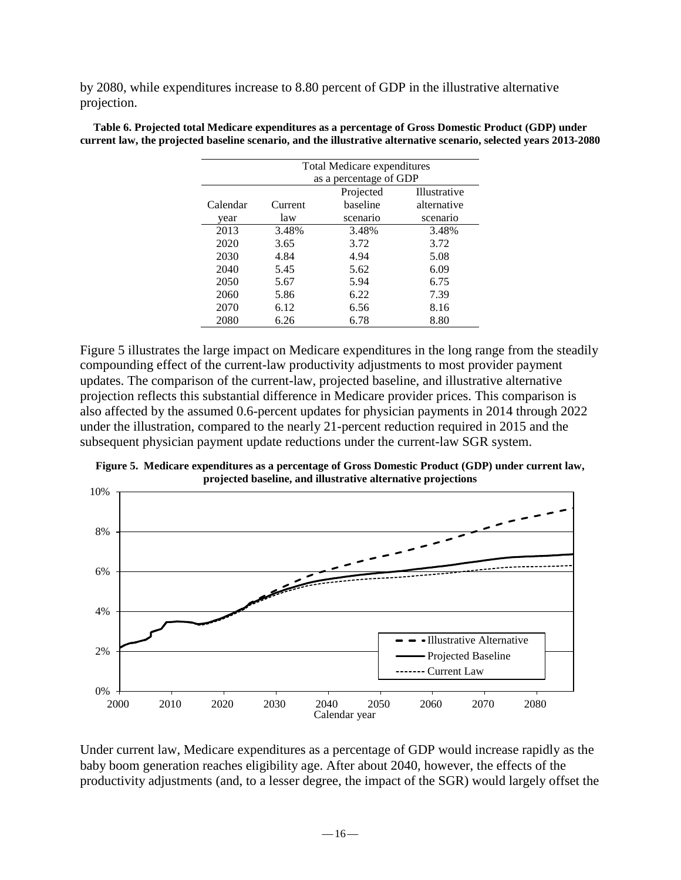by 2080, while expenditures increase to 8.80 percent of GDP in the illustrative alternative projection.

| Total Medicare expenditures |                        |           |              |  |
|-----------------------------|------------------------|-----------|--------------|--|
|                             | as a percentage of GDP |           |              |  |
|                             |                        | Projected | Illustrative |  |
| Calendar                    | Current                | baseline  | alternative  |  |
| year                        | law                    | scenario  | scenario     |  |
| 2013                        | 3.48%                  | 3.48%     | 3.48%        |  |
| 2020                        | 3.65                   | 3.72      | 3.72         |  |
| 2030                        | 4.84                   | 4.94      | 5.08         |  |
| 2040                        | 5.45                   | 5.62      | 6.09         |  |
| 2050                        | 5.67                   | 5.94      | 6.75         |  |
| 2060                        | 5.86                   | 6.22      | 7.39         |  |
| 2070                        | 6.12                   | 6.56      | 8.16         |  |
| 2080                        | 6.26                   | 6.78      | 8.80         |  |

**Table 6. Projected total Medicare expenditures as a percentage of Gross Domestic Product (GDP) under current law, the projected baseline scenario, and the illustrative alternative scenario, selected years 2013-2080** 

Figure 5 illustrates the large impact on Medicare expenditures in the long range from the steadily compounding effect of the current-law productivity adjustments to most provider payment updates. The comparison of the current-law, projected baseline, and illustrative alternative projection reflects this substantial difference in Medicare provider prices. This comparison is also affected by the assumed 0.6-percent updates for physician payments in 2014 through 2022 under the illustration, compared to the nearly 21-percent reduction required in 2015 and the subsequent physician payment update reductions under the current-law SGR system.

**Figure 5. Medicare expenditures as a percentage of Gross Domestic Product (GDP) under current law, projected baseline, and illustrative alternative projections**



Under current law, Medicare expenditures as a percentage of GDP would increase rapidly as the baby boom generation reaches eligibility age. After about 2040, however, the effects of the productivity adjustments (and, to a lesser degree, the impact of the SGR) would largely offset the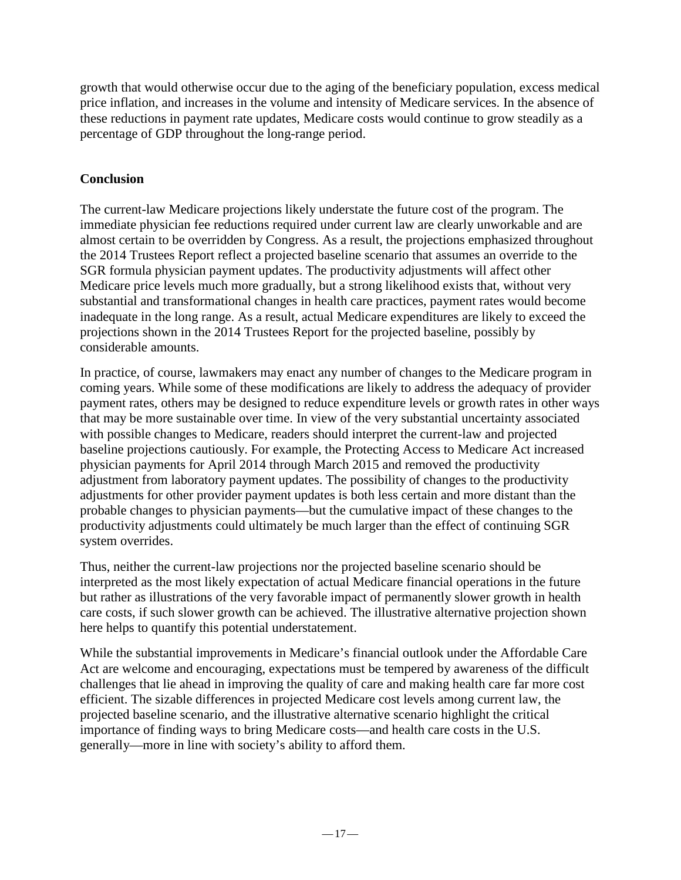growth that would otherwise occur due to the aging of the beneficiary population, excess medical price inflation, and increases in the volume and intensity of Medicare services. In the absence of these reductions in payment rate updates, Medicare costs would continue to grow steadily as a percentage of GDP throughout the long-range period.

# **Conclusion**

The current-law Medicare projections likely understate the future cost of the program. The immediate physician fee reductions required under current law are clearly unworkable and are almost certain to be overridden by Congress. As a result, the projections emphasized throughout the 2014 Trustees Report reflect a projected baseline scenario that assumes an override to the SGR formula physician payment updates. The productivity adjustments will affect other Medicare price levels much more gradually, but a strong likelihood exists that, without very substantial and transformational changes in health care practices, payment rates would become inadequate in the long range. As a result, actual Medicare expenditures are likely to exceed the projections shown in the 2014 Trustees Report for the projected baseline, possibly by considerable amounts.

In practice, of course, lawmakers may enact any number of changes to the Medicare program in coming years. While some of these modifications are likely to address the adequacy of provider payment rates, others may be designed to reduce expenditure levels or growth rates in other ways that may be more sustainable over time. In view of the very substantial uncertainty associated with possible changes to Medicare, readers should interpret the current-law and projected baseline projections cautiously. For example, the Protecting Access to Medicare Act increased physician payments for April 2014 through March 2015 and removed the productivity adjustment from laboratory payment updates. The possibility of changes to the productivity adjustments for other provider payment updates is both less certain and more distant than the probable changes to physician payments—but the cumulative impact of these changes to the productivity adjustments could ultimately be much larger than the effect of continuing SGR system overrides.

Thus, neither the current-law projections nor the projected baseline scenario should be interpreted as the most likely expectation of actual Medicare financial operations in the future but rather as illustrations of the very favorable impact of permanently slower growth in health care costs, if such slower growth can be achieved. The illustrative alternative projection shown here helps to quantify this potential understatement.

While the substantial improvements in Medicare's financial outlook under the Affordable Care Act are welcome and encouraging, expectations must be tempered by awareness of the difficult challenges that lie ahead in improving the quality of care and making health care far more cost efficient. The sizable differences in projected Medicare cost levels among current law, the projected baseline scenario, and the illustrative alternative scenario highlight the critical importance of finding ways to bring Medicare costs—and health care costs in the U.S. generally—more in line with society's ability to afford them.